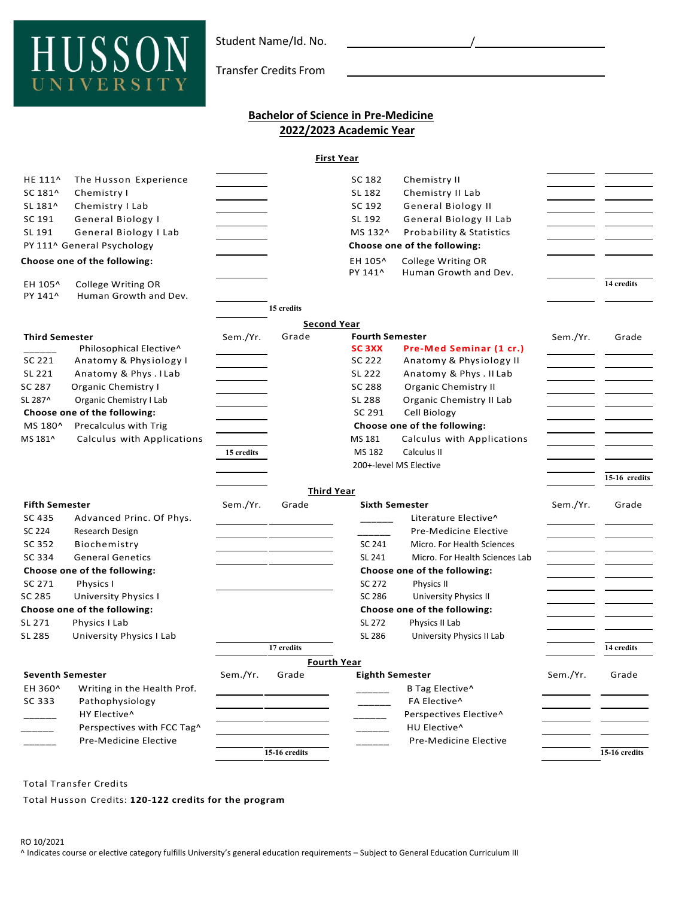

Transfer Credits From

## **Bachelor of Science in Pre-Medicine 2022/2023 Academic Year**

**First Year** 

| HE 111^                      | The Husson Experience        |                |                              | SC 182                 | Chemistry II                   |          |               |
|------------------------------|------------------------------|----------------|------------------------------|------------------------|--------------------------------|----------|---------------|
| SC 181^                      | Chemistry I                  |                |                              | SL 182                 | Chemistry II Lab               |          |               |
| SL 181^                      | Chemistry I Lab              |                |                              | SC 192                 | General Biology II             |          |               |
| SC 191                       | General Biology I            |                |                              | SL 192                 | General Biology II Lab         |          |               |
| SL 191                       | General Biology I Lab        |                |                              | MS 132^                | Probability & Statistics       |          |               |
| PY 111^ General Psychology   |                              |                | Choose one of the following: |                        |                                |          |               |
|                              | Choose one of the following: |                |                              | EH 105^                | College Writing OR             |          |               |
|                              |                              |                |                              | PY 141^                | Human Growth and Dev.          |          |               |
| EH 105^                      | College Writing OR           |                |                              |                        |                                |          | 14 credits    |
| PY 141^                      | Human Growth and Dev.        |                |                              |                        |                                |          |               |
|                              |                              |                | 15 credits                   |                        |                                |          |               |
|                              |                              |                |                              | <b>Second Year</b>     |                                |          |               |
| <b>Third Semester</b>        |                              | Sem./Yr.       | Grade                        | <b>Fourth Semester</b> |                                | Sem./Yr. | Grade         |
|                              | Philosophical Elective^      |                |                              | <b>SC 3XX</b>          | Pre-Med Seminar (1 cr.)        |          |               |
| SC 221                       | Anatomy & Physiology I       |                |                              | SC 222                 | Anatomy & Physiology II        |          |               |
| SL 221                       | Anatomy & Phys. I Lab        |                |                              | SL 222                 | Anatomy & Phys. II Lab         |          |               |
| SC 287                       | Organic Chemistry I          |                |                              | SC 288                 | <b>Organic Chemistry II</b>    |          |               |
| SL 287^                      | Organic Chemistry I Lab      |                |                              | SL 288                 | Organic Chemistry II Lab       |          |               |
|                              | Choose one of the following: |                |                              | SC 291                 | Cell Biology                   |          |               |
| MS 180^                      | Precalculus with Trig        |                |                              |                        | Choose one of the following:   |          |               |
| MS 181^                      | Calculus with Applications   |                |                              | MS 181                 | Calculus with Applications     |          |               |
|                              |                              | 15 credits     |                              | MS 182                 | Calculus II                    |          |               |
|                              |                              |                |                              |                        | 200+-level MS Elective         |          |               |
|                              |                              |                |                              |                        |                                |          | 15-16 credits |
|                              |                              |                |                              | <b>Third Year</b>      |                                |          |               |
| <b>Fifth Semester</b>        |                              | Sem./Yr.       | Grade                        | <b>Sixth Semester</b>  |                                | Sem./Yr. | Grade         |
| SC 435                       | Advanced Princ. Of Phys.     |                |                              |                        | Literature Elective^           |          |               |
| SC 224                       | Research Design              |                |                              |                        | Pre-Medicine Elective          |          |               |
| SC 352                       | Biochemistry                 |                |                              | SC 241                 | Micro. For Health Sciences     |          |               |
| SC 334                       | <b>General Genetics</b>      |                |                              | SL 241                 | Micro. For Health Sciences Lab |          |               |
| Choose one of the following: |                              |                |                              |                        | Choose one of the following:   |          |               |
| SC 271                       | Physics I                    |                |                              | SC 272                 | Physics II                     |          |               |
| SC 285                       | <b>University Physics I</b>  |                |                              | SC 286                 | University Physics II          |          |               |
| Choose one of the following: |                              |                |                              |                        | Choose one of the following:   |          |               |
| SL 271                       | Physics I Lab                |                |                              | SL 272                 | Physics II Lab                 |          |               |
| SL 285                       | University Physics I Lab     |                |                              | SL 286                 | University Physics II Lab      |          |               |
|                              |                              |                | 17 credits                   |                        |                                |          | 14 credits    |
|                              |                              |                |                              | <b>Fourth Year</b>     |                                |          |               |
| <b>Seventh Semester</b>      |                              | Sem./Yr. Grade |                              | <b>Eighth Semester</b> |                                | Sem./Yr. | Grade         |
| EH 360^                      | Writing in the Health Prof.  |                |                              |                        | B Tag Elective^                |          |               |
| SC 333                       | Pathophysiology              |                |                              |                        | FA Elective^                   |          |               |
|                              | HY Elective^                 |                |                              |                        | Perspectives Elective^         |          |               |
|                              | Perspectives with FCC Tag^   |                |                              |                        | HU Elective^                   |          |               |
|                              | Pre-Medicine Elective        |                |                              |                        |                                |          |               |
|                              |                              |                | 15-16 credits                |                        | Pre-Medicine Elective          |          | 15-16 credits |
|                              |                              |                |                              |                        |                                |          |               |

Total Transfer Credits

Total Husson Credits: **120-122 credits for the program**